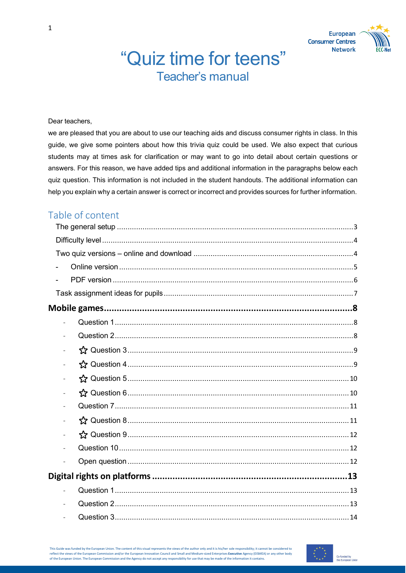# "Quiz time for teens" Teacher's manual





#### Dear teachers,

we are pleased that you are about to use our teaching aids and discuss consumer rights in class. In this guide, we give some pointers about how this trivia quiz could be used. We also expect that curious students may at times ask for clarification or may want to go into detail about certain questions or answers. For this reason, we have added tips and additional information in the paragraphs below each quiz question. This information is not included in the student handouts. The additional information can help you explain why a certain answer is correct or incorrect and provides sources for further information.

# Table of content

| $\blacksquare$ |  |
|----------------|--|
|                |  |
|                |  |
|                |  |
| ÷,             |  |
|                |  |
|                |  |
|                |  |
|                |  |

This Guide was funded by the European Union. The content of this visual represents the views of the author only and it is his/her sole responsibility; it cannot be considered to reflect the views of the European Commission and/or the European Innovation Council and Small and Medium-sized Enterprises **Executive** Agency (EISMEA) or any other body of the European Union. The European Commission and the Agency do not accept any responsibility for use that may be made of the information it contains.

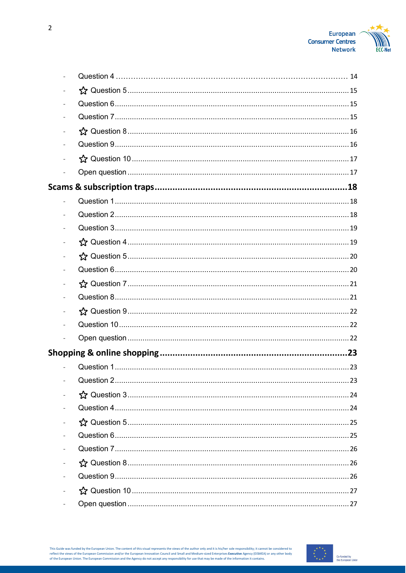

| $\frac{1}{2}$ |  |
|---------------|--|
|               |  |
|               |  |
|               |  |
|               |  |
|               |  |
|               |  |
|               |  |
|               |  |
|               |  |
|               |  |
|               |  |
|               |  |

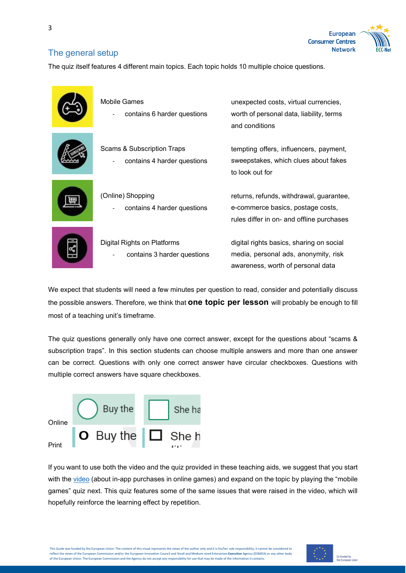<span id="page-2-0"></span>3





# The general setup

The quiz itself features 4 different main topics. Each topic holds 10 multiple choice questions.

| Mobile Games<br>contains 6 harder questions                          | unexpected costs, virtual currencies,<br>worth of personal data, liability, terms<br>and conditions                        |
|----------------------------------------------------------------------|----------------------------------------------------------------------------------------------------------------------------|
| <b>Scams &amp; Subscription Traps</b><br>contains 4 harder questions | tempting offers, influencers, payment,<br>sweepstakes, which clues about fakes<br>to look out for                          |
| (Online) Shopping<br>contains 4 harder questions                     | returns, refunds, withdrawal, guarantee,<br>e-commerce basics, postage costs,<br>rules differ in on- and offline purchases |
| Digital Rights on Platforms<br>contains 3 harder questions           | digital rights basics, sharing on social<br>media, personal ads, anonymity, risk<br>awareness, worth of personal data      |

We expect that students will need a few minutes per question to read, consider and potentially discuss the possible answers. Therefore, we think that **one topic per lesson** will probably be enough to fill most of a teaching unit's timeframe.

The quiz questions generally only have one correct answer, except for the questions about "scams & subscription traps". In this section students can choose multiple answers and more than one answer can be correct. Questions with only one correct answer have circular checkboxes. Questions with multiple correct answers have square checkboxes.



If you want to use both the video and the quiz provided in these teaching aids, we suggest that you start with the [video](https://www.youtube.com/watch?v=znDPihKj9nc) (about in-app purchases in online games) and expand on the topic by playing the "mobile games" quiz next. This quiz features some of the same issues that were raised in the video, which will hopefully reinforce the learning effect by repetition.

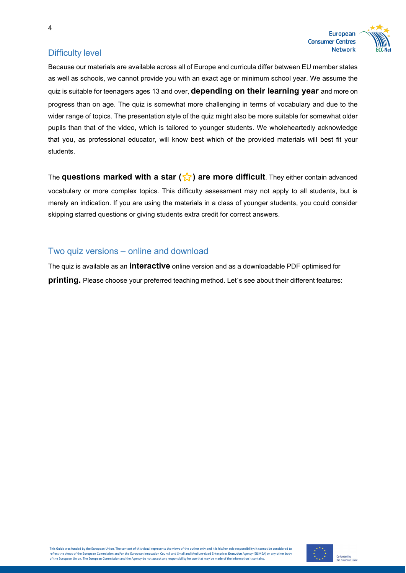



# <span id="page-3-0"></span>Difficulty level

4

Because our materials are available across all of Europe and curricula differ between EU member states as well as schools, we cannot provide you with an exact age or minimum school year. We assume the quiz is suitable for teenagers ages 13 and over, **depending on their learning year** and more on progress than on age. The quiz is somewhat more challenging in terms of vocabulary and due to the wider range of topics. The presentation style of the quiz might also be more suitable for somewhat older pupils than that of the video, which is tailored to younger students. We wholeheartedly acknowledge that you, as professional educator, will know best which of the provided materials will best fit your students.

The **questions marked with a star (☆) are more difficult**. They either contain advanced vocabulary or more complex topics. This difficulty assessment may not apply to all students, but is merely an indication. If you are using the materials in a class of younger students, you could consider skipping starred questions or giving students extra credit for correct answers.

# <span id="page-3-1"></span>Two quiz versions – online and download

The quiz is available as an **interactive** online version and as a downloadable PDF optimised for **printing.** Please choose your preferred teaching method. Let´s see about their different features:

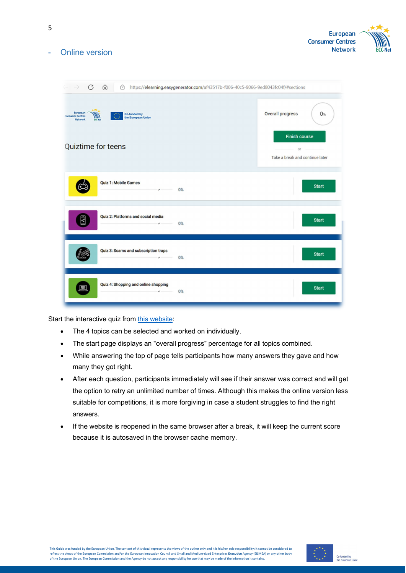

<span id="page-4-0"></span>Online version

5

| G<br>ᠿ<br>https://elearning.easygenerator.com/af43517b-f006-40c5-9066-9ed8043fc04f/#sections<br>⋒                                          |                                                                                            |  |  |  |
|--------------------------------------------------------------------------------------------------------------------------------------------|--------------------------------------------------------------------------------------------|--|--|--|
| European<br>Co-funded by<br><b>Consumer Centres</b><br>W V<br>the European Union<br><b>Network</b><br><b>ECC-Met</b><br>Quiztime for teens | Overall progress<br>$0\%$<br><b>Finish course</b><br>or<br>Take a break and continue later |  |  |  |
| <b>Quiz 1: Mobile Games</b><br>$\sim$ $\sim$ $\sim$ $\sim$<br>0%                                                                           | <b>Start</b>                                                                               |  |  |  |
| Quiz 2: Platforms and social media<br>$\overline{\mathbf{z}}$<br>$\sim$ 0%                                                                 | <b>Start</b>                                                                               |  |  |  |
| Quiz 3: Scams and subscription traps<br>$\sqrt{ }$ 0%                                                                                      | <b>Start</b>                                                                               |  |  |  |
| Quiz 4: Shopping and online shopping<br>Đ<br>0%<br>$\checkmark$                                                                            | <b>Start</b>                                                                               |  |  |  |

Start the interactive quiz from this [website:](https://ekurs.kov.se/ecc-quiz-for-teens/)

- The 4 topics can be selected and worked on individually.
- The start page displays an "overall progress" percentage for all topics combined.
- While answering the top of page tells participants how many answers they gave and how many they got right.
- After each question, participants immediately will see if their answer was correct and will get the option to retry an unlimited number of times. Although this makes the online version less suitable for competitions, it is more forgiving in case a student struggles to find the right answers.
- If the website is reopened in the same browser after a break, it will keep the current score because it is autosaved in the browser cache memory.

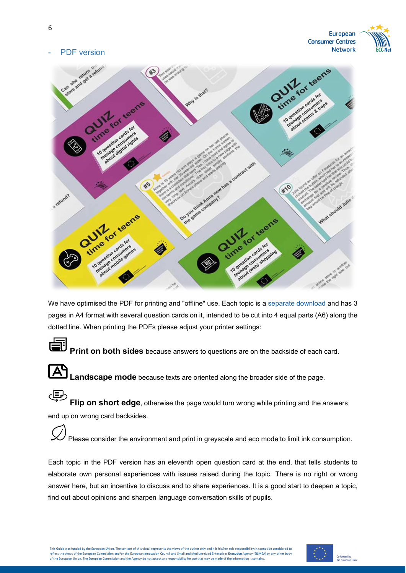

# <span id="page-5-0"></span>PDF version



We have optimised the PDF for printing and "offline" use. Each topic is a separate [download](https://www.eccnet.eu/consumer-education) and has 3 pages in A4 format with several question cards on it, intended to be cut into 4 equal parts (A6) along the dotted line. When printing the PDFs please adjust your printer settings:



**Print on both sides** because answers to questions are on the backside of each card.



**Landscape mode** because texts are oriented along the broader side of the page.

导 **Flip on short edge**, otherwise the page would turn wrong while printing and the answers end up on wrong card backsides.

Please consider the environment and print in greyscale and eco mode to limit ink consumption.

Each topic in the PDF version has an eleventh open question card at the end, that tells students to elaborate own personal experiences with issues raised during the topic. There is no right or wrong answer here, but an incentive to discuss and to share experiences. It is a good start to deepen a topic, find out about opinions and sharpen language conversation skills of pupils.

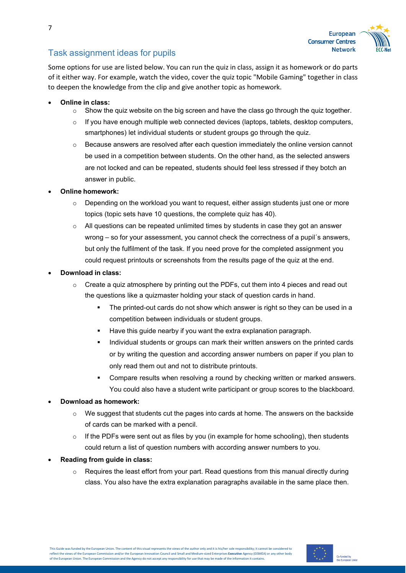

# <span id="page-6-0"></span>Task assignment ideas for pupils

Some options for use are listed below. You can run the quiz in class, assign it as homework or do parts of it either way. For example, watch the video, cover the quiz topic "Mobile Gaming" together in class to deepen the knowledge from the clip and give another topic as homework.

- **Online in class:**
	- $\circ$  Show the quiz website on the big screen and have the class go through the quiz together.
	- $\circ$  If you have enough multiple web connected devices (laptops, tablets, desktop computers, smartphones) let individual students or student groups go through the quiz.
	- $\circ$  Because answers are resolved after each question immediately the online version cannot be used in a competition between students. On the other hand, as the selected answers are not locked and can be repeated, students should feel less stressed if they botch an answer in public.
- **Online homework:**
	- $\circ$  Depending on the workload you want to request, either assign students just one or more topics (topic sets have 10 questions, the complete quiz has 40).
	- $\circ$  All questions can be repeated unlimited times by students in case they got an answer wrong – so for your assessment, you cannot check the correctness of a pupil´s answers, but only the fulfilment of the task. If you need prove for the completed assignment you could request printouts or screenshots from the results page of the quiz at the end.
- **Download in class:**
	- $\circ$  Create a quiz atmosphere by printing out the PDFs, cut them into 4 pieces and read out the questions like a quizmaster holding your stack of question cards in hand.
		- The printed-out cards do not show which answer is right so they can be used in a competition between individuals or student groups.
		- Have this guide nearby if you want the extra explanation paragraph.
		- **Individual students or groups can mark their written answers on the printed cards** or by writing the question and according answer numbers on paper if you plan to only read them out and not to distribute printouts.
		- Compare results when resolving a round by checking written or marked answers. You could also have a student write participant or group scores to the blackboard.

### • **Download as homework:**

- $\circ$  We suggest that students cut the pages into cards at home. The answers on the backside of cards can be marked with a pencil.
- $\circ$  If the PDFs were sent out as files by you (in example for home schooling), then students could return a list of question numbers with according answer numbers to you.
- **Reading from guide in class:**
	- $\circ$  Requires the least effort from your part. Read questions from this manual directly during class. You also have the extra explanation paragraphs available in the same place then.

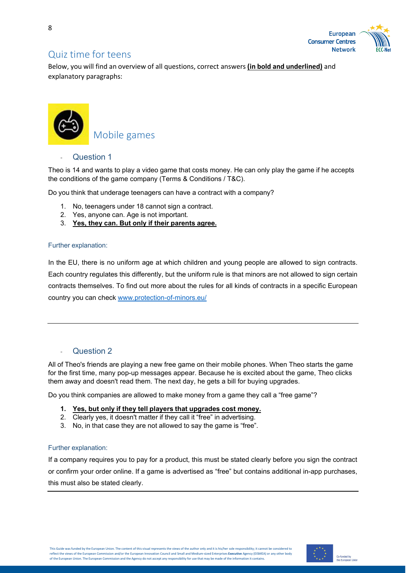

# Quiz time for teens

Below, you will find an overview of all questions, correct answers **(in bold and underlined)** and explanatory paragraphs:



# <span id="page-7-0"></span>Mobile games

### <span id="page-7-1"></span>Question 1

Theo is 14 and wants to play a video game that costs money. He can only play the game if he accepts the conditions of the game company (Terms & Conditions / T&C).

Do you think that underage teenagers can have a contract with a company?

- 1. No, teenagers under 18 cannot sign a contract.
- 2. Yes, anyone can. Age is not important.
- 3. **Yes, they can. But only if their parents agree.**

#### Further explanation:

In the EU, there is no uniform age at which children and young people are allowed to sign contracts. Each country regulates this differently, but the uniform rule is that minors are not allowed to sign certain contracts themselves. To find out more about the rules for all kinds of contracts in a specific European country you can check [www.protection-of-minors.eu/](http://www.protection-of-minors.eu/)

### <span id="page-7-2"></span>Question 2

All of Theo's friends are playing a new free game on their mobile phones. When Theo starts the game for the first time, many pop-up messages appear. Because he is excited about the game, Theo clicks them away and doesn't read them. The next day, he gets a bill for buying upgrades.

Do you think companies are allowed to make money from a game they call a "free game"?

- **1. Yes, but only if they tell players that upgrades cost money.**
- 2. Clearly yes, it doesn't matter if they call it "free" in advertising.
- 3. No, in that case they are not allowed to say the game is "free".

#### Further explanation:

If a company requires you to pay for a product, this must be stated clearly before you sign the contract or confirm your order online. If a game is advertised as "free" but contains additional in-app purchases, this must also be stated clearly.

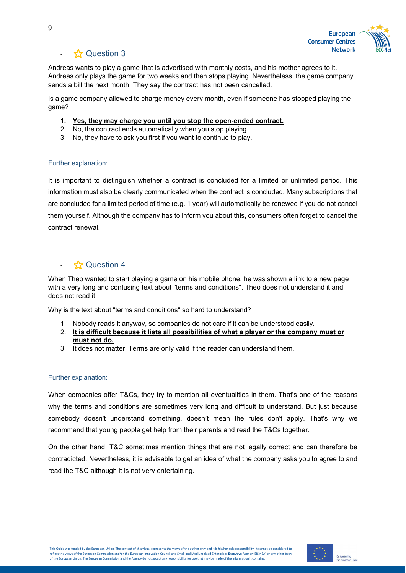

<span id="page-8-0"></span>Andreas wants to play a game that is advertised with monthly costs, and his mother agrees to it. Andreas only plays the game for two weeks and then stops playing. Nevertheless, the game company sends a bill the next month. They say the contract has not been cancelled.

Is a game company allowed to charge money every month, even if someone has stopped playing the game?

- **1. Yes, they may charge you until you stop the open-ended contract.**
- 2. No, the contract ends automatically when you stop playing.
- 3. No, they have to ask you first if you want to continue to play.

#### Further explanation:

It is important to distinguish whether a contract is concluded for a limited or unlimited period. This information must also be clearly communicated when the contract is concluded. Many subscriptions that are concluded for a limited period of time (e.g. 1 year) will automatically be renewed if you do not cancel them yourself. Although the company has to inform you about this, consumers often forget to cancel the contract renewal.

# <span id="page-8-1"></span>- ⭐ Question 4

When Theo wanted to start playing a game on his mobile phone, he was shown a link to a new page with a very long and confusing text about "terms and conditions". Theo does not understand it and does not read it.

Why is the text about "terms and conditions" so hard to understand?

- 1. Nobody reads it anyway, so companies do not care if it can be understood easily.
- 2. **It is difficult because it lists all possibilities of what a player or the company must or must not do.**
- 3. It does not matter. Terms are only valid if the reader can understand them.

#### Further explanation:

When companies offer T&Cs, they try to mention all eventualities in them. That's one of the reasons why the terms and conditions are sometimes very long and difficult to understand. But just because somebody doesn't understand something, doesn't mean the rules don't apply. That's why we recommend that young people get help from their parents and read the T&Cs together.

On the other hand, T&C sometimes mention things that are not legally correct and can therefore be contradicted. Nevertheless, it is advisable to get an idea of what the company asks you to agree to and read the T&C although it is not very entertaining.

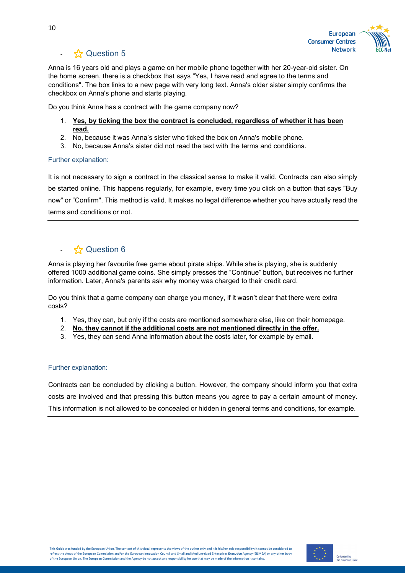

<span id="page-9-0"></span>Anna is 16 years old and plays a game on her mobile phone together with her 20-year-old sister. On the home screen, there is a checkbox that says "Yes, I have read and agree to the terms and conditions". The box links to a new page with very long text. Anna's older sister simply confirms the checkbox on Anna's phone and starts playing.

Do you think Anna has a contract with the game company now?

- 1. **Yes, by ticking the box the contract is concluded, regardless of whether it has been read.**
- 2. No, because it was Anna's sister who ticked the box on Anna's mobile phone.
- 3. No, because Anna's sister did not read the text with the terms and conditions.

#### Further explanation:

It is not necessary to sign a contract in the classical sense to make it valid. Contracts can also simply be started online. This happens regularly, for example, every time you click on a button that says "Buy now" or "Confirm". This method is valid. It makes no legal difference whether you have actually read the terms and conditions or not.

# <span id="page-9-1"></span> $\sim$   $\frac{1}{2}$  Question 6

Anna is playing her favourite free game about pirate ships. While she is playing, she is suddenly offered 1000 additional game coins. She simply presses the "Continue" button, but receives no further information. Later, Anna's parents ask why money was charged to their credit card.

Do you think that a game company can charge you money, if it wasn't clear that there were extra costs?

- 1. Yes, they can, but only if the costs are mentioned somewhere else, like on their homepage.
- 2. **No, they cannot if the additional costs are not mentioned directly in the offer.**
- 3. Yes, they can send Anna information about the costs later, for example by email.

#### Further explanation:

Contracts can be concluded by clicking a button. However, the company should inform you that extra costs are involved and that pressing this button means you agree to pay a certain amount of money. This information is not allowed to be concealed or hidden in general terms and conditions, for example.

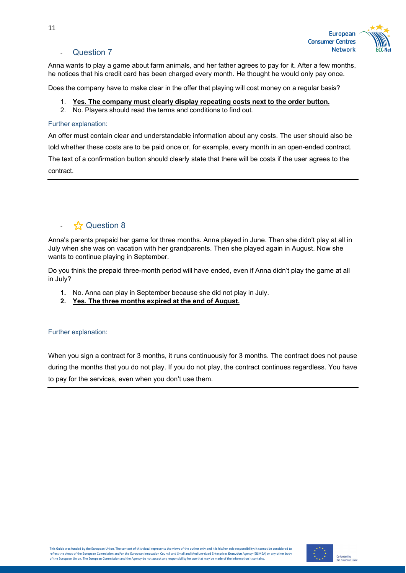

#### **Question 7**

<span id="page-10-0"></span>Anna wants to play a game about farm animals, and her father agrees to pay for it. After a few months, he notices that his credit card has been charged every month. He thought he would only pay once.

Does the company have to make clear in the offer that playing will cost money on a regular basis?

- 1. **Yes. The company must clearly display repeating costs next to the order button.**
- 2. No. Players should read the terms and conditions to find out.

#### Further explanation:

An offer must contain clear and understandable information about any costs. The user should also be told whether these costs are to be paid once or, for example, every month in an open-ended contract. The text of a confirmation button should clearly state that there will be costs if the user agrees to the contract.

# <span id="page-10-1"></span>↑ **☆** Question 8

Anna's parents prepaid her game for three months. Anna played in June. Then she didn't play at all in July when she was on vacation with her grandparents. Then she played again in August. Now she wants to continue playing in September.

Do you think the prepaid three-month period will have ended, even if Anna didn't play the game at all in July?

- **1.** No. Anna can play in September because she did not play in July.
- **2. Yes. The three months expired at the end of August.**

#### Further explanation:

When you sign a contract for 3 months, it runs continuously for 3 months. The contract does not pause during the months that you do not play. If you do not play, the contract continues regardless. You have to pay for the services, even when you don't use them.

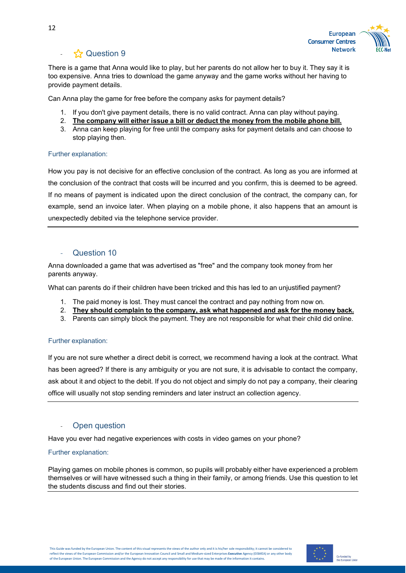

<span id="page-11-0"></span>There is a game that Anna would like to play, but her parents do not allow her to buy it. They say it is too expensive. Anna tries to download the game anyway and the game works without her having to provide payment details.

Can Anna play the game for free before the company asks for payment details?

- 1. If you don't give payment details, there is no valid contract. Anna can play without paying.
- 2. **The company will either issue a bill or deduct the money from the mobile phone bill.**
- 3. Anna can keep playing for free until the company asks for payment details and can choose to stop playing then.

#### Further explanation:

How you pay is not decisive for an effective conclusion of the contract. As long as you are informed at the conclusion of the contract that costs will be incurred and you confirm, this is deemed to be agreed. If no means of payment is indicated upon the direct conclusion of the contract, the company can, for example, send an invoice later. When playing on a mobile phone, it also happens that an amount is unexpectedly debited via the telephone service provider.

### Question 10

<span id="page-11-1"></span>Anna downloaded a game that was advertised as "free" and the company took money from her parents anyway.

What can parents do if their children have been tricked and this has led to an unjustified payment?

- 1. The paid money is lost. They must cancel the contract and pay nothing from now on.
- 2. **They should complain to the company, ask what happened and ask for the money back.**
- 3. Parents can simply block the payment. They are not responsible for what their child did online.

#### Further explanation:

If you are not sure whether a direct debit is correct, we recommend having a look at the contract. What has been agreed? If there is any ambiguity or you are not sure, it is advisable to contact the company, ask about it and object to the debit. If you do not object and simply do not pay a company, their clearing office will usually not stop sending reminders and later instruct an collection agency.

### Open question

<span id="page-11-2"></span>Have you ever had negative experiences with costs in video games on your phone?

#### Further explanation:

Playing games on mobile phones is common, so pupils will probably either have experienced a problem themselves or will have witnessed such a thing in their family, or among friends. Use this question to let the students discuss and find out their stories.

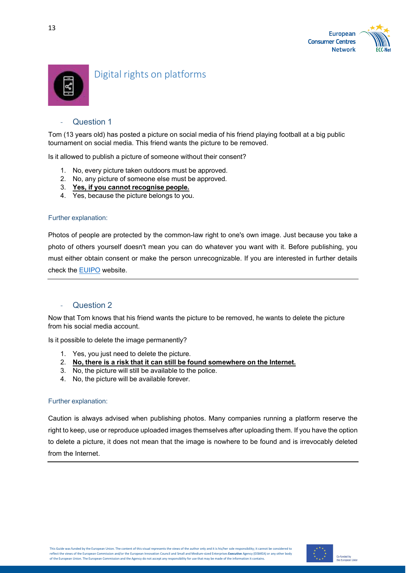



# <span id="page-12-0"></span>Digital rights on platforms

### **Question 1**

<span id="page-12-1"></span>Tom (13 years old) has posted a picture on social media of his friend playing football at a big public tournament on social media. This friend wants the picture to be removed.

Is it allowed to publish a picture of someone without their consent?

- 1. No, every picture taken outdoors must be approved.
- 2. No, any picture of someone else must be approved.
- 3. **Yes, if you cannot recognise people.**
- 4. Yes, because the picture belongs to you.

#### Further explanation:

Photos of people are protected by the common-law right to one's own image. Just because you take a photo of others yourself doesn't mean you can do whatever you want with it. Before publishing, you must either obtain consent or make the person unrecognizable. If you are interested in further details check the [EUIPO](https://euipo.europa.eu/ohimportal/en/web/observatory/faq-for-teachers) website.

#### **Question 2**

<span id="page-12-2"></span>Now that Tom knows that his friend wants the picture to be removed, he wants to delete the picture from his social media account.

Is it possible to delete the image permanently?

- 1. Yes, you just need to delete the picture.
- 2. **No, there is a risk that it can still be found somewhere on the Internet.**
- 3. No, the picture will still be available to the police.
- 4. No, the picture will be available forever.

#### Further explanation:

Caution is always advised when publishing photos. Many companies running a platform reserve the right to keep, use or reproduce uploaded images themselves after uploading them. If you have the option to delete a picture, it does not mean that the image is nowhere to be found and is irrevocably deleted from the Internet.

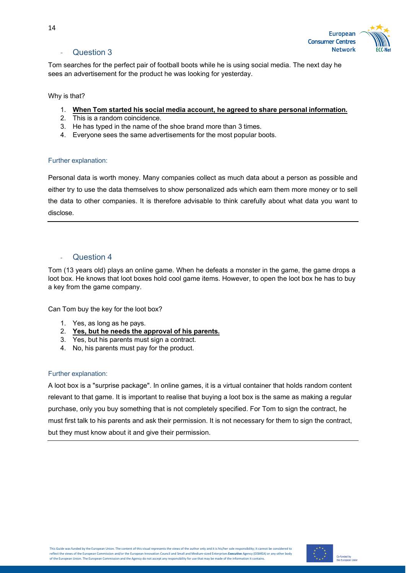

### Question 3

<span id="page-13-0"></span>Tom searches for the perfect pair of football boots while he is using social media. The next day he sees an advertisement for the product he was looking for yesterday.

Why is that?

- 1. **When Tom started his social media account, he agreed to share personal information.**
- 2. This is a random coincidence.
- 3. He has typed in the name of the shoe brand more than 3 times.
- 4. Everyone sees the same advertisements for the most popular boots.

#### Further explanation:

Personal data is worth money. Many companies collect as much data about a person as possible and either try to use the data themselves to show personalized ads which earn them more money or to sell the data to other companies. It is therefore advisable to think carefully about what data you want to disclose.

#### **Question 4**

<span id="page-13-1"></span>Tom (13 years old) plays an online game. When he defeats a monster in the game, the game drops a loot box. He knows that loot boxes hold cool game items. However, to open the loot box he has to buy a key from the game company.

Can Tom buy the key for the loot box?

- 1. Yes, as long as he pays.
- 2. **Yes, but he needs the approval of his parents.**
- 3. Yes, but his parents must sign a contract.
- 4. No, his parents must pay for the product.

#### Further explanation:

A loot box is a "surprise package". In online games, it is a virtual container that holds random content relevant to that game. It is important to realise that buying a loot box is the same as making a regular purchase, only you buy something that is not completely specified. For Tom to sign the contract, he must first talk to his parents and ask their permission. It is not necessary for them to sign the contract, but they must know about it and give their permission.

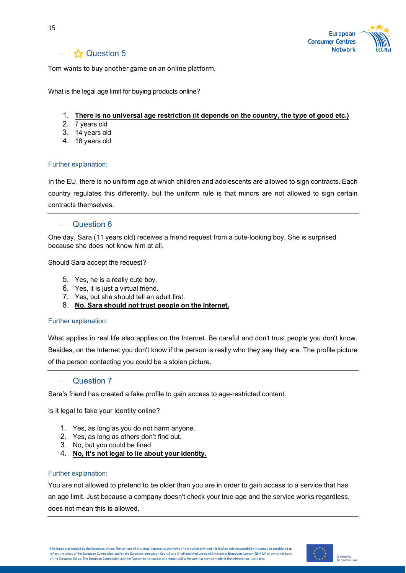

<span id="page-14-0"></span>Tom wants to buy another game on an online platform.

What is the legal age limit for buying products online?

#### 1. **There is no universal age restriction (it depends on the country, the type of good etc.)**

- 2. 7 years old
- 3. 14 years old
- 4. 18 years old

#### Further explanation:

In the EU, there is no uniform age at which children and adolescents are allowed to sign contracts. Each country regulates this differently, but the uniform rule is that minors are not allowed to sign certain contracts themselves.

#### **Question 6**

<span id="page-14-1"></span>One day, Sara (11 years old) receives a friend request from a cute-looking boy. She is surprised because she does not know him at all.

Should Sara accept the request?

- 5. Yes, he is a really cute boy.
- 6. Yes, it is just a virtual friend.
- 7. Yes, but she should tell an adult first.
- 8. **No, Sara should not trust people on the Internet.**

#### Further explanation:

What applies in real life also applies on the Internet. Be careful and don't trust people you don't know. Besides, on the Internet you don't know if the person is really who they say they are. The profile picture of the person contacting you could be a stolen picture.

#### **Question 7**

<span id="page-14-2"></span>Sara's friend has created a fake profile to gain access to age-restricted content.

Is it legal to fake your identity online?

- 1. Yes, as long as you do not harm anyone.
- 2. Yes, as long as others don't find out.
- 3. No, but you could be fined.
- 4. **No, it's not legal to lie about your identity.**

#### Further explanation:

You are not allowed to pretend to be older than you are in order to gain access to a service that has an age limit. Just because a company doesn't check your true age and the service works regardless, does not mean this is allowed.

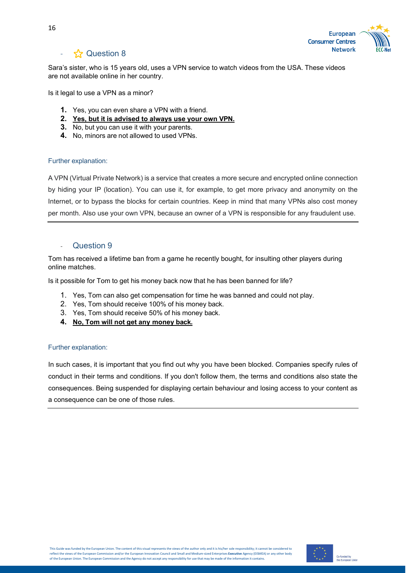

<span id="page-15-0"></span>Sara's sister, who is 15 years old, uses a VPN service to watch videos from the USA. These videos are not available online in her country.

Is it legal to use a VPN as a minor?

- **1.** Yes, you can even share a VPN with a friend.
- **2. Yes, but it is advised to always use your own VPN.**
- **3.** No, but you can use it with your parents.
- **4.** No, minors are not allowed to used VPNs.

#### Further explanation:

A VPN (Virtual Private Network) is a service that creates a more secure and encrypted online connection by hiding your IP (location). You can use it, for example, to get more privacy and anonymity on the Internet, or to bypass the blocks for certain countries. Keep in mind that many VPNs also cost money per month. Also use your own VPN, because an owner of a VPN is responsible for any fraudulent use.

#### Question 9

<span id="page-15-1"></span>Tom has received a lifetime ban from a game he recently bought, for insulting other players during online matches.

Is it possible for Tom to get his money back now that he has been banned for life?

- 1. Yes, Tom can also get compensation for time he was banned and could not play.
- 2. Yes, Tom should receive 100% of his money back.
- 3. Yes, Tom should receive 50% of his money back.
- **4. No, Tom will not get any money back.**

#### Further explanation:

In such cases, it is important that you find out why you have been blocked. Companies specify rules of conduct in their terms and conditions. If you don't follow them, the terms and conditions also state the consequences. Being suspended for displaying certain behaviour and losing access to your content as a consequence can be one of those rules.

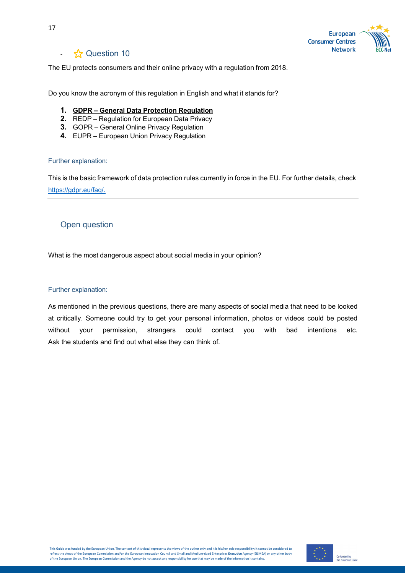

# **☆ Question 10**

<span id="page-16-0"></span>The EU protects consumers and their online privacy with a regulation from 2018.

Do you know the acronym of this regulation in English and what it stands for?

- **1. GDPR General Data Protection Regulation**
- **2.** REDP Regulation for European Data Privacy
- **3.** GOPR General Online Privacy Regulation
- **4.** EUPR European Union Privacy Regulation

#### Further explanation:

This is the basic framework of data protection rules currently in force in the EU. For further details, check [https://gdpr.eu/faq/.](https://gdpr.eu/faq/)

### <span id="page-16-1"></span>Open question

What is the most dangerous aspect about social media in your opinion?

#### Further explanation:

As mentioned in the previous questions, there are many aspects of social media that need to be looked at critically. Someone could try to get your personal information, photos or videos could be posted without your permission, strangers could contact you with bad intentions etc. Ask the students and find out what else they can think of.

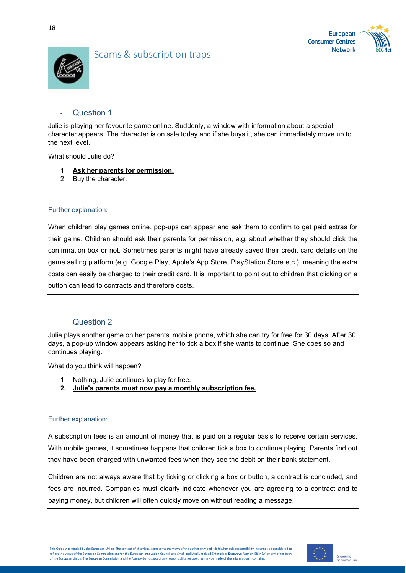





# <span id="page-17-0"></span>Scams & subscription traps

### Question 1

<span id="page-17-1"></span>Julie is playing her favourite game online. Suddenly, a window with information about a special character appears. The character is on sale today and if she buys it, she can immediately move up to the next level.

What should Julie do?

- 1. **Ask her parents for permission.**
- 2. Buy the character.

#### Further explanation:

When children play games online, pop-ups can appear and ask them to confirm to get paid extras for their game. Children should ask their parents for permission, e.g. about whether they should click the confirmation box or not. Sometimes parents might have already saved their credit card details on the game selling platform (e.g. Google Play, Apple's App Store, PlayStation Store etc.), meaning the extra costs can easily be charged to their credit card. It is important to point out to children that clicking on a button can lead to contracts and therefore costs.

### <span id="page-17-2"></span>Question 2

Julie plays another game on her parents' mobile phone, which she can try for free for 30 days. After 30 days, a pop-up window appears asking her to tick a box if she wants to continue. She does so and continues playing.

What do you think will happen?

- 1. Nothing, Julie continues to play for free.
- **2. Julie's parents must now pay a monthly subscription fee.**

#### Further explanation:

A subscription fees is an amount of money that is paid on a regular basis to receive certain services. With mobile games, it sometimes happens that children tick a box to continue playing. Parents find out they have been charged with unwanted fees when they see the debit on their bank statement.

Children are not always aware that by ticking or clicking a box or button, a contract is concluded, and fees are incurred. Companies must clearly indicate whenever you are agreeing to a contract and to paying money, but children will often quickly move on without reading a message.

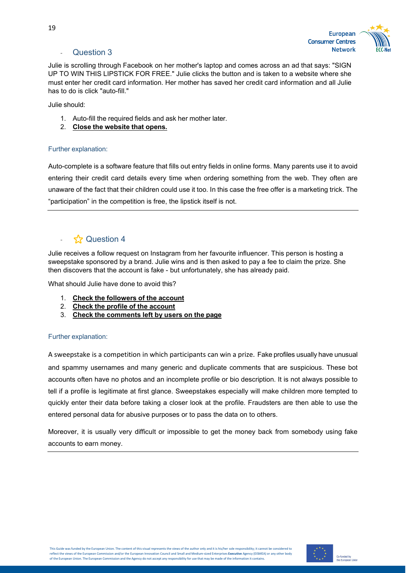

# <span id="page-18-0"></span>**Question 3**

Julie is scrolling through Facebook on her mother's laptop and comes across an ad that says: "SIGN UP TO WIN THIS LIPSTICK FOR FREE." Julie clicks the button and is taken to a website where she must enter her credit card information. Her mother has saved her credit card information and all Julie has to do is click "auto-fill."

Julie should:

- 1. Auto-fill the required fields and ask her mother later.
- 2. **Close the website that opens.**

#### Further explanation:

Auto-complete is a software feature that fills out entry fields in online forms. Many parents use it to avoid entering their credit card details every time when ordering something from the web. They often are unaware of the fact that their children could use it too. In this case the free offer is a marketing trick. The "participation" in the competition is free, the lipstick itself is not.

# <span id="page-18-1"></span> $\frac{1}{2}$  Question 4

Julie receives a follow request on Instagram from her favourite influencer. This person is hosting a sweepstake sponsored by a brand. Julie wins and is then asked to pay a fee to claim the prize. She then discovers that the account is fake - but unfortunately, she has already paid.

What should Julie have done to avoid this?

- 1. **Check the followers of the account**
- 2. **Check the profile of the account**
- 3. **Check the comments left by users on the page**

#### Further explanation:

A sweepstake is a competition in which participants can win a prize. Fake profiles usually have unusual and spammy usernames and many generic and duplicate comments that are suspicious. These bot accounts often have no photos and an incomplete profile or bio description. It is not always possible to tell if a profile is legitimate at first glance. Sweepstakes especially will make children more tempted to quickly enter their data before taking a closer look at the profile. Fraudsters are then able to use the entered personal data for abusive purposes or to pass the data on to others.

Moreover, it is usually very difficult or impossible to get the money back from somebody using fake accounts to earn money.

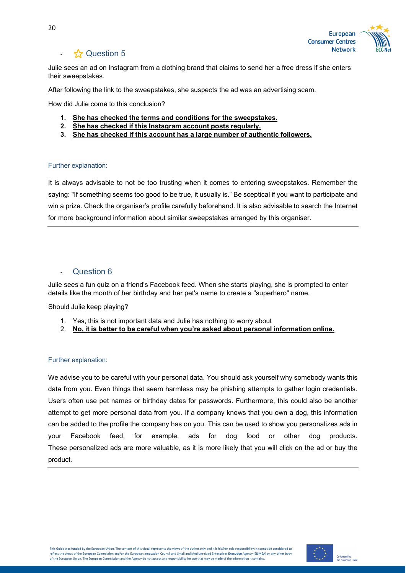

# $\frac{1}{2}$  Question 5

<span id="page-19-0"></span>Julie sees an ad on Instagram from a clothing brand that claims to send her a free dress if she enters their sweepstakes.

After following the link to the sweepstakes, she suspects the ad was an advertising scam.

How did Julie come to this conclusion?

- **1. She has checked the terms and conditions for the sweepstakes.**
- **2. She has checked if this Instagram account posts regularly.**
- **3. She has checked if this account has a large number of authentic followers.**

#### Further explanation:

It is always advisable to not be too trusting when it comes to entering sweepstakes. Remember the saying: "If something seems too good to be true, it usually is." Be sceptical if you want to participate and win a prize. Check the organiser's profile carefully beforehand. It is also advisable to search the Internet for more background information about similar sweepstakes arranged by this organiser.

### Question 6

<span id="page-19-1"></span>Julie sees a fun quiz on a friend's Facebook feed. When she starts playing, she is prompted to enter details like the month of her birthday and her pet's name to create a "superhero" name.

Should Julie keep playing?

- 1. Yes, this is not important data and Julie has nothing to worry about
- 2. **No, it is better to be careful when you're asked about personal information online.**

#### Further explanation:

We advise you to be careful with your personal data. You should ask yourself why somebody wants this data from you. Even things that seem harmless may be phishing attempts to gather login credentials. Users often use pet names or birthday dates for passwords. Furthermore, this could also be another attempt to get more personal data from you. If a company knows that you own a dog, this information can be added to the profile the company has on you. This can be used to show you personalizes ads in your Facebook feed, for example, ads for dog food or other dog products. These personalized ads are more valuable, as it is more likely that you will click on the ad or buy the product.

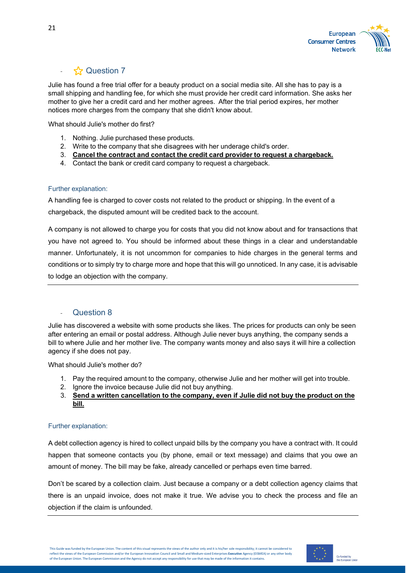

<span id="page-20-0"></span>Julie has found a free trial offer for a beauty product on a social media site. All she has to pay is a small shipping and handling fee, for which she must provide her credit card information. She asks her mother to give her a credit card and her mother agrees. After the trial period expires, her mother notices more charges from the company that she didn't know about.

What should Julie's mother do first?

- 1. Nothing. Julie purchased these products.
- 2. Write to the company that she disagrees with her underage child's order.
- 3. **Cancel the contract and contact the credit card provider to request a chargeback.**
- 4. Contact the bank or credit card company to request a chargeback.

#### Further explanation:

A handling fee is charged to cover costs not related to the product or shipping. In the event of a chargeback, the disputed amount will be credited back to the account.

A company is not allowed to charge you for costs that you did not know about and for transactions that you have not agreed to. You should be informed about these things in a clear and understandable manner. Unfortunately, it is not uncommon for companies to hide charges in the general terms and conditions or to simply try to charge more and hope that this will go unnoticed. In any case, it is advisable to lodge an objection with the company.

### <span id="page-20-1"></span>**Question 8**

Julie has discovered a website with some products she likes. The prices for products can only be seen after entering an email or postal address. Although Julie never buys anything, the company sends a bill to where Julie and her mother live. The company wants money and also says it will hire a collection agency if she does not pay.

What should Julie's mother do?

- 1. Pay the required amount to the company, otherwise Julie and her mother will get into trouble.
- 2. Ignore the invoice because Julie did not buy anything.
- 3. **Send a written cancellation to the company, even if Julie did not buy the product on the bill.**

#### Further explanation:

A debt collection agency is hired to collect unpaid bills by the company you have a contract with. It could happen that someone contacts you (by phone, email or text message) and claims that you owe an amount of money. The bill may be fake, already cancelled or perhaps even time barred.

Don't be scared by a collection claim. Just because a company or a debt collection agency claims that there is an unpaid invoice, does not make it true. We advise you to check the process and file an objection if the claim is unfounded.

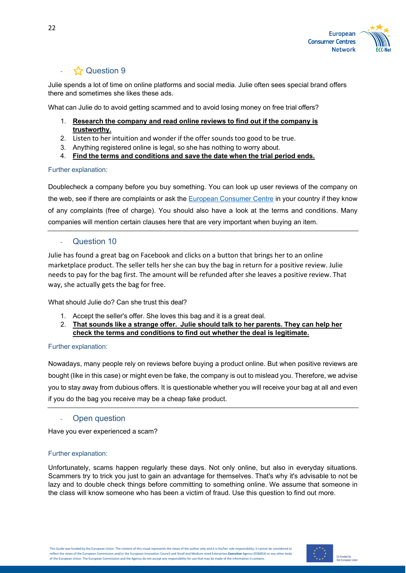

<span id="page-21-0"></span>Julie spends a lot of time on online platforms and social media. Julie often sees special brand offers there and sometimes she likes these ads.

What can Julie do to avoid getting scammed and to avoid losing money on free trial offers?

- 1. **Research the company and read online reviews to find out if the company is trustworthy.**
- 2. Listen to her intuition and wonder if the offer sounds too good to be true.
- 3. Anything registered online is legal, so she has nothing to worry about.
- 4. **Find the terms and conditions and save the date when the trial period ends.**

#### Further explanation:

Doublecheck a company before you buy something. You can look up user reviews of the company on the web, see if there are complaints or ask the European [Consumer](https://www.eccnet.eu/contact-your-local-ecc) Centre in your country if they know of any complaints (free of charge). You should also have a look at the terms and conditions. Many companies will mention certain clauses here that are very important when buying an item.

### <span id="page-21-1"></span>- Question 10

Julie has found a great bag on Facebook and clicks on a button that brings her to an online marketplace product. The seller tells her she can buy the bag in return for a positive review. Julie needs to pay for the bag first. The amount will be refunded after she leaves a positive review. That way, she actually gets the bag for free.

What should Julie do? Can she trust this deal?

- 1. Accept the seller's offer. She loves this bag and it is a great deal.
- 2. **That sounds like a strange offer. Julie should talk to her parents. They can help her check the terms and conditions to find out whether the deal is legitimate.**

#### Further explanation:

Nowadays, many people rely on reviews before buying a product online. But when positive reviews are bought (like in this case) or might even be fake, the company is out to mislead you. Therefore, we advise you to stay away from dubious offers. It is questionable whether you will receive your bag at all and even if you do the bag you receive may be a cheap fake product.

#### Open question

<span id="page-21-2"></span>Have you ever experienced a scam?

#### Further explanation:

Unfortunately, scams happen regularly these days. Not only online, but also in everyday situations. Scammers try to trick you just to gain an advantage for themselves. That's why it's advisable to not be lazy and to double check things before committing to something online. We assume that someone in the class will know someone who has been a victim of fraud. Use this question to find out more.

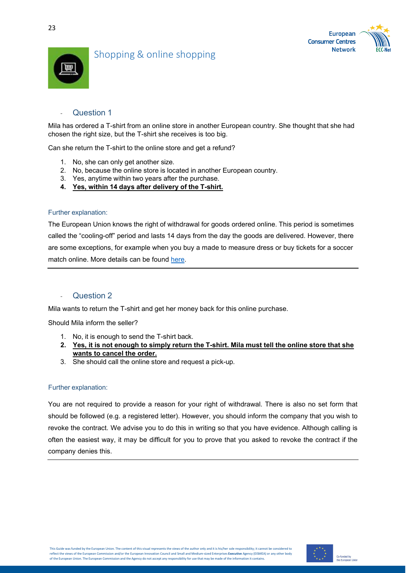



# <span id="page-22-0"></span>Shopping & online shopping



### Question 1

<span id="page-22-1"></span>Mila has ordered a T-shirt from an online store in another European country. She thought that she had chosen the right size, but the T-shirt she receives is too big.

Can she return the T-shirt to the online store and get a refund?

- 1. No, she can only get another size.
- 2. No, because the online store is located in another European country.
- 3. Yes, anytime within two years after the purchase.
- **4. Yes, within 14 days after delivery of the T-shirt.**

#### Further explanation:

The European Union knows the right of withdrawal for goods ordered online. This period is sometimes called the "cooling-off" period and lasts 14 days from the day the goods are delivered. However, there are some exceptions, for example when you buy a made to measure dress or buy tickets for a soccer match online. More details can be found [here.](https://www.eccnet.eu/consumer-rights/what-are-my-consumer-rights/shopping-rights/cooling-period)

#### <span id="page-22-2"></span>- Question 2

Mila wants to return the T-shirt and get her money back for this online purchase.

Should Mila inform the seller?

- 1. No, it is enough to send the T-shirt back.
- **2. Yes, it is not enough to simply return the T-shirt. Mila must tell the online store that she wants to cancel the order.**
- 3. She should call the online store and request a pick-up.

#### Further explanation:

You are not required to provide a reason for your right of withdrawal. There is also no set form that should be followed (e.g. a registered letter). However, you should inform the company that you wish to revoke the contract. We advise you to do this in writing so that you have evidence. Although calling is often the easiest way, it may be difficult for you to prove that you asked to revoke the contract if the company denies this.

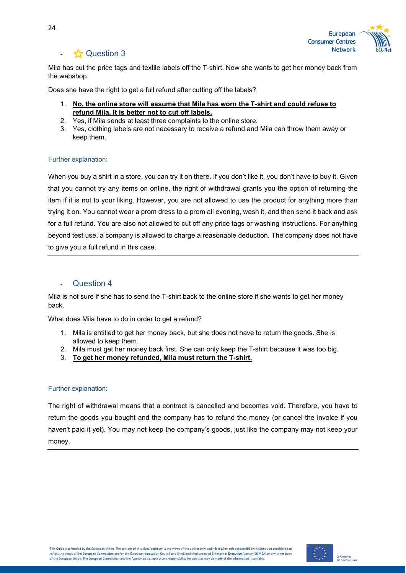

<span id="page-23-0"></span>Mila has cut the price tags and textile labels off the T-shirt. Now she wants to get her money back from the webshop.

Does she have the right to get a full refund after cutting off the labels?

- 1. **No, the online store will assume that Mila has worn the T-shirt and could refuse to refund Mila. It is better not to cut off labels.**
- 2. Yes, if Mila sends at least three complaints to the online store.
- 3. Yes, clothing labels are not necessary to receive a refund and Mila can throw them away or keep them.

#### Further explanation:

When you buy a shirt in a store, you can try it on there. If you don't like it, you don't have to buy it. Given that you cannot try any items on online, the right of withdrawal grants you the option of returning the item if it is not to your liking. However, you are not allowed to use the product for anything more than trying it on. You cannot wear a prom dress to a prom all evening, wash it, and then send it back and ask for a full refund. You are also not allowed to cut off any price tags or washing instructions. For anything beyond test use, a company is allowed to charge a reasonable deduction. The company does not have to give you a full refund in this case.

#### <span id="page-23-1"></span>**Question 4**

Mila is not sure if she has to send the T-shirt back to the online store if she wants to get her money back.

What does Mila have to do in order to get a refund?

- 1. Mila is entitled to get her money back, but she does not have to return the goods. She is allowed to keep them.
- 2. Mila must get her money back first. She can only keep the T-shirt because it was too big.
- 3. **To get her money refunded, Mila must return the T-shirt.**

#### Further explanation:

The right of withdrawal means that a contract is cancelled and becomes void. Therefore, you have to return the goods you bought and the company has to refund the money (or cancel the invoice if you haven't paid it yet). You may not keep the company's goods, just like the company may not keep your money.

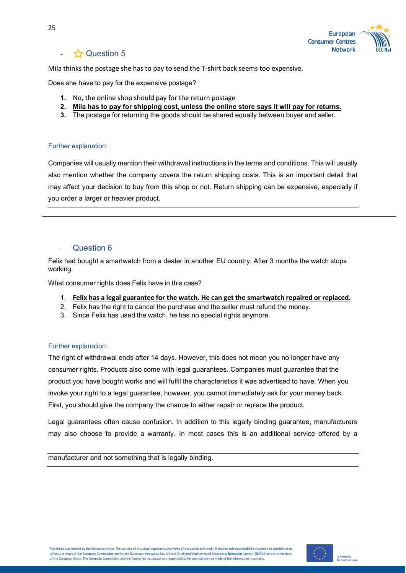

<span id="page-24-0"></span>Mila thinks the postage she has to pay to send the T-shirt back seems too expensive.

Does she have to pay for the expensive postage?

- **1.** No, the online shop should pay for the return postage
- **2. Mila has to pay for shipping cost, unless the online store says it will pay for returns.**
- **3.** The postage for returning the goods should be shared equally between buyer and seller.

#### Further explanation:

Companies will usually mention their withdrawal instructions in the terms and conditions. This will usually also mention whether the company covers the return shipping costs. This is an important detail that may affect your decision to buy from this shop or not. Return shipping can be expensive, especially if you order a larger or heavier product.

### Question 6

<span id="page-24-1"></span>Felix had bought a smartwatch from a dealer in another EU country. After 3 months the watch stops working.

What consumer rights does Felix have in this case?

- 1. **Felix has a legal guarantee for the watch. He can get the smartwatch repaired or replaced.**
- 2. Felix has the right to cancel the purchase and the seller must refund the money.
- 3. Since Felix has used the watch, he has no special rights anymore.

#### Further explanation:

The right of withdrawal ends after 14 days. However, this does not mean you no longer have any consumer rights. Products also come with legal guarantees. Companies must guarantee that the product you have bought works and will fulfil the characteristics it was advertised to have. When you invoke your right to a legal guarantee, however, you cannot immediately ask for your money back. First, you should give the company the chance to either repair or replace the product.

Legal guarantees often cause confusion. In addition to this legally binding guarantee, manufacturers may also choose to provide a warranty. In most cases this is an additional service offered by a

manufacturer and not something that is legally binding.

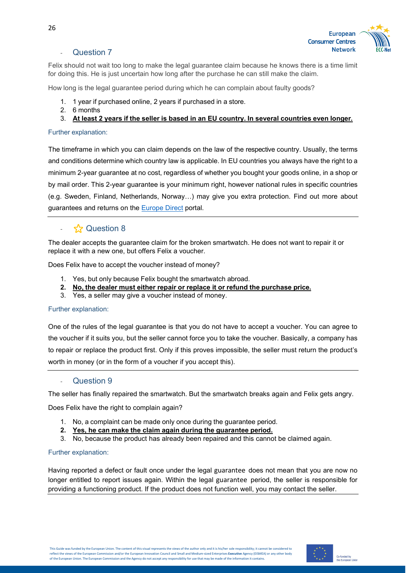

### **Question 7**

<span id="page-25-0"></span>Felix should not wait too long to make the legal guarantee claim because he knows there is a time limit for doing this. He is just uncertain how long after the purchase he can still make the claim.

How long is the legal guarantee period during which he can complain about faulty goods?

- 1. 1 year if purchased online, 2 years if purchased in a store.
- 2. 6 months
- 3. **At least 2 years if the seller is based in an EU country. In several countries even longer.**

#### Further explanation:

The timeframe in which you can claim depends on the law of the respective country. Usually, the terms and conditions determine which country law is applicable. In EU countries you always have the right to a minimum 2-year guarantee at no cost, regardless of whether you bought your goods online, in a shop or by mail order. This 2-year guarantee is your minimum right, however national rules in specific countries (e.g. Sweden, Finland, Netherlands, Norway…) may give you extra protection. Find out more about guarantees and returns on the [Europe Direct](https://europa.eu/youreurope/citizens/consumers/shopping/guarantees-returns/faq/index_en.htm) portal.

# - ⭐ Question 8

<span id="page-25-1"></span>The dealer accepts the guarantee claim for the broken smartwatch. He does not want to repair it or replace it with a new one, but offers Felix a voucher.

Does Felix have to accept the voucher instead of money?

- 1. Yes, but only because Felix bought the smartwatch abroad.
- **2. No, the dealer must either repair or replace it or refund the purchase price.**
- 3. Yes, a seller may give a voucher instead of money.

#### Further explanation:

One of the rules of the legal guarantee is that you do not have to accept a voucher. You can agree to the voucher if it suits you, but the seller cannot force you to take the voucher. Basically, a company has to repair or replace the product first. Only if this proves impossible, the seller must return the product's worth in money (or in the form of a voucher if you accept this).

#### **Question 9**

<span id="page-25-2"></span>The seller has finally repaired the smartwatch. But the smartwatch breaks again and Felix gets angry.

Does Felix have the right to complain again?

- 1. No, a complaint can be made only once during the guarantee period.
- **2. Yes, he can make the claim again during the guarantee period.**
- 3. No, because the product has already been repaired and this cannot be claimed again.

#### Further explanation:

Having reported a defect or fault once under the legal guarantee does not mean that you are now no longer entitled to report issues again. Within the legal guarantee period, the seller is responsible for providing a functioning product. If the product does not function well, you may contact the seller.